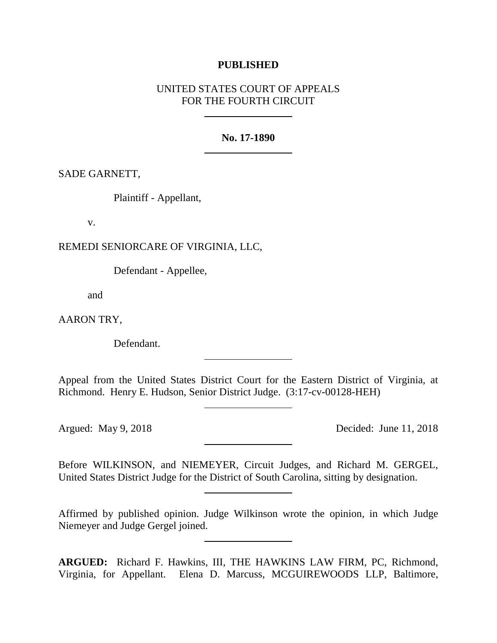## **PUBLISHED**

# UNITED STATES COURT OF APPEALS FOR THE FOURTH CIRCUIT

### **No. 17-1890**

SADE GARNETT,

Plaintiff - Appellant,

v.

REMEDI SENIORCARE OF VIRGINIA, LLC,

Defendant - Appellee,

and

AARON TRY,

Defendant.

Appeal from the United States District Court for the Eastern District of Virginia, at Richmond. Henry E. Hudson, Senior District Judge. (3:17-cv-00128-HEH)

Argued: May 9, 2018 Decided: June 11, 2018

Before WILKINSON, and NIEMEYER, Circuit Judges, and Richard M. GERGEL, United States District Judge for the District of South Carolina, sitting by designation.

Affirmed by published opinion. Judge Wilkinson wrote the opinion, in which Judge Niemeyer and Judge Gergel joined.

**ARGUED:** Richard F. Hawkins, III, THE HAWKINS LAW FIRM, PC, Richmond, Virginia, for Appellant. Elena D. Marcuss, MCGUIREWOODS LLP, Baltimore,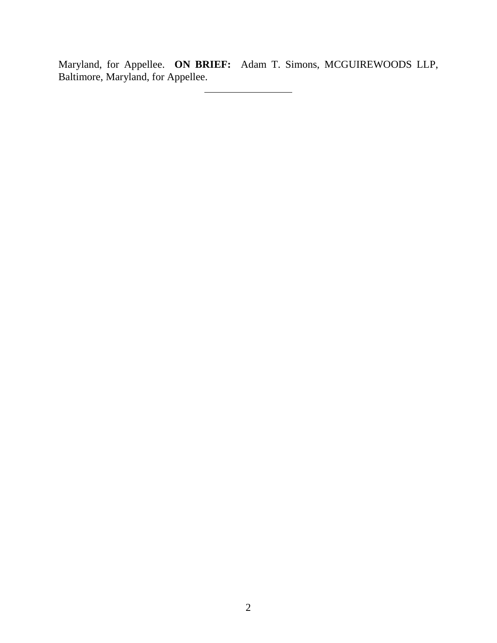Maryland, for Appellee. **ON BRIEF:** Adam T. Simons, MCGUIREWOODS LLP, Baltimore, Maryland, for Appellee.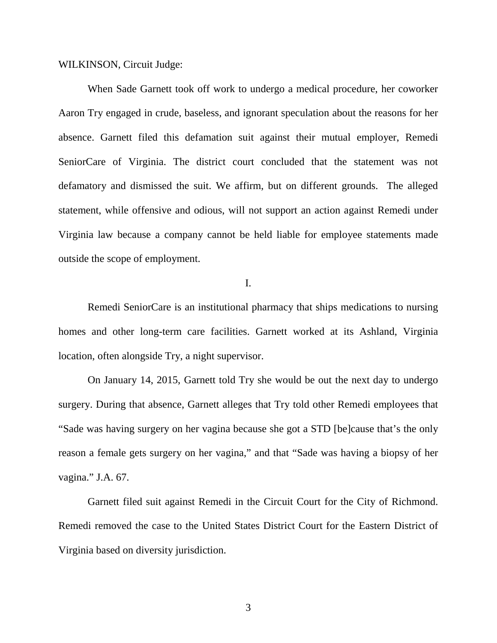WILKINSON, Circuit Judge:

When Sade Garnett took off work to undergo a medical procedure, her coworker Aaron Try engaged in crude, baseless, and ignorant speculation about the reasons for her absence. Garnett filed this defamation suit against their mutual employer, Remedi SeniorCare of Virginia. The district court concluded that the statement was not defamatory and dismissed the suit. We affirm, but on different grounds. The alleged statement, while offensive and odious, will not support an action against Remedi under Virginia law because a company cannot be held liable for employee statements made outside the scope of employment.

I.

Remedi SeniorCare is an institutional pharmacy that ships medications to nursing homes and other long-term care facilities. Garnett worked at its Ashland, Virginia location, often alongside Try, a night supervisor.

On January 14, 2015, Garnett told Try she would be out the next day to undergo surgery. During that absence, Garnett alleges that Try told other Remedi employees that "Sade was having surgery on her vagina because she got a STD [be]cause that's the only reason a female gets surgery on her vagina," and that "Sade was having a biopsy of her vagina." J.A. 67.

Garnett filed suit against Remedi in the Circuit Court for the City of Richmond. Remedi removed the case to the United States District Court for the Eastern District of Virginia based on diversity jurisdiction.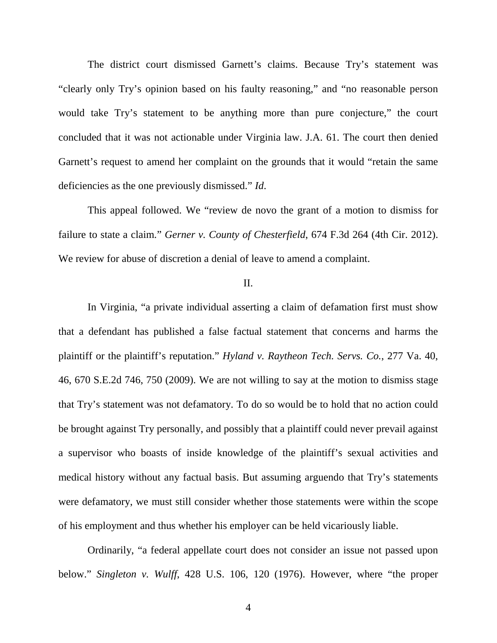The district court dismissed Garnett's claims. Because Try's statement was "clearly only Try's opinion based on his faulty reasoning," and "no reasonable person would take Try's statement to be anything more than pure conjecture," the court concluded that it was not actionable under Virginia law. J.A. 61. The court then denied Garnett's request to amend her complaint on the grounds that it would "retain the same deficiencies as the one previously dismissed." *Id*.

This appeal followed. We "review de novo the grant of a motion to dismiss for failure to state a claim." *Gerner v. County of Chesterfield*, 674 F.3d 264 (4th Cir. 2012). We review for abuse of discretion a denial of leave to amend a complaint.

## II.

In Virginia, "a private individual asserting a claim of defamation first must show that a defendant has published a false factual statement that concerns and harms the plaintiff or the plaintiff's reputation." *Hyland v. Raytheon Tech. Servs. Co.*, 277 Va. 40, 46, 670 S.E.2d 746, 750 (2009). We are not willing to say at the motion to dismiss stage that Try's statement was not defamatory. To do so would be to hold that no action could be brought against Try personally, and possibly that a plaintiff could never prevail against a supervisor who boasts of inside knowledge of the plaintiff's sexual activities and medical history without any factual basis. But assuming arguendo that Try's statements were defamatory, we must still consider whether those statements were within the scope of his employment and thus whether his employer can be held vicariously liable.

Ordinarily, "a federal appellate court does not consider an issue not passed upon below." *Singleton v. Wulff*, 428 U.S. 106, 120 (1976). However, where "the proper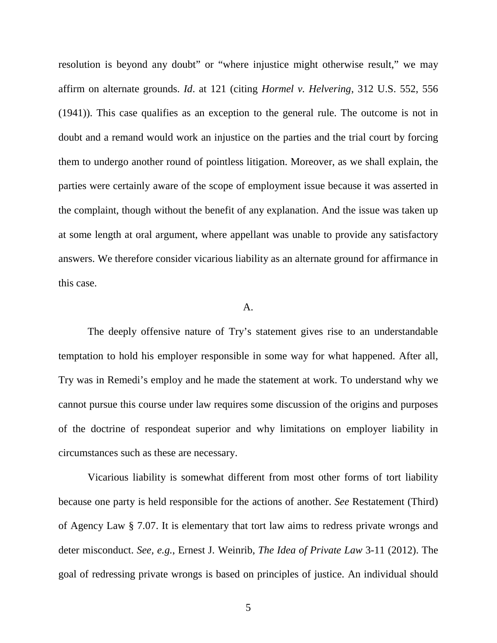resolution is beyond any doubt" or "where injustice might otherwise result," we may affirm on alternate grounds. *Id*. at 121 (citing *Hormel v. Helvering*, 312 U.S. 552, 556 (1941)). This case qualifies as an exception to the general rule. The outcome is not in doubt and a remand would work an injustice on the parties and the trial court by forcing them to undergo another round of pointless litigation. Moreover, as we shall explain, the parties were certainly aware of the scope of employment issue because it was asserted in the complaint, though without the benefit of any explanation. And the issue was taken up at some length at oral argument, where appellant was unable to provide any satisfactory answers. We therefore consider vicarious liability as an alternate ground for affirmance in this case.

#### A.

The deeply offensive nature of Try's statement gives rise to an understandable temptation to hold his employer responsible in some way for what happened. After all, Try was in Remedi's employ and he made the statement at work. To understand why we cannot pursue this course under law requires some discussion of the origins and purposes of the doctrine of respondeat superior and why limitations on employer liability in circumstances such as these are necessary.

Vicarious liability is somewhat different from most other forms of tort liability because one party is held responsible for the actions of another. *See* Restatement (Third) of Agency Law § 7.07. It is elementary that tort law aims to redress private wrongs and deter misconduct. *See, e.g.*, Ernest J. Weinrib, *The Idea of Private Law* 3-11 (2012). The goal of redressing private wrongs is based on principles of justice. An individual should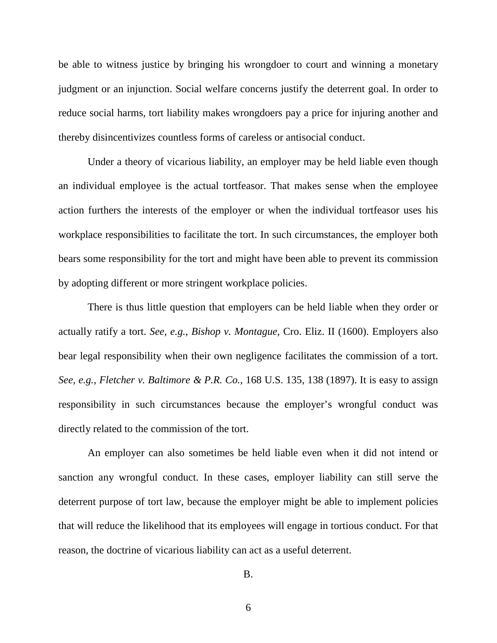be able to witness justice by bringing his wrongdoer to court and winning a monetary judgment or an injunction. Social welfare concerns justify the deterrent goal. In order to reduce social harms, tort liability makes wrongdoers pay a price for injuring another and thereby disincentivizes countless forms of careless or antisocial conduct.

Under a theory of vicarious liability, an employer may be held liable even though an individual employee is the actual tortfeasor. That makes sense when the employee action furthers the interests of the employer or when the individual tortfeasor uses his workplace responsibilities to facilitate the tort. In such circumstances, the employer both bears some responsibility for the tort and might have been able to prevent its commission by adopting different or more stringent workplace policies.

There is thus little question that employers can be held liable when they order or actually ratify a tort. *See, e.g.*, *Bishop v. Montague*, Cro. Eliz. II (1600). Employers also bear legal responsibility when their own negligence facilitates the commission of a tort. *See, e.g.*, *Fletcher v. Baltimore & P.R. Co.*, 168 U.S. 135, 138 (1897). It is easy to assign responsibility in such circumstances because the employer's wrongful conduct was directly related to the commission of the tort.

An employer can also sometimes be held liable even when it did not intend or sanction any wrongful conduct. In these cases, employer liability can still serve the deterrent purpose of tort law, because the employer might be able to implement policies that will reduce the likelihood that its employees will engage in tortious conduct. For that reason, the doctrine of vicarious liability can act as a useful deterrent.

<sup>6</sup>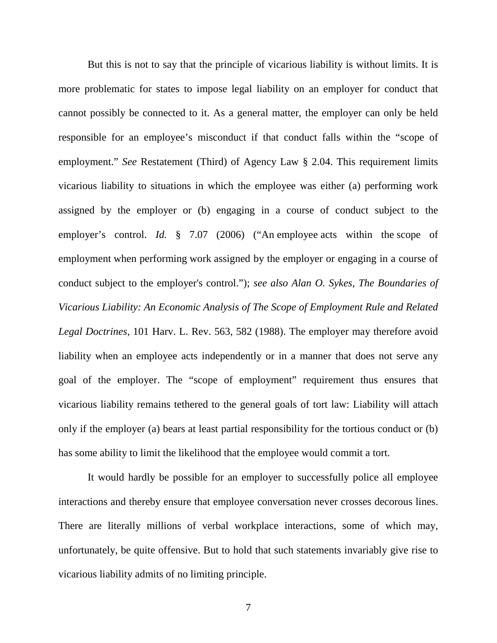But this is not to say that the principle of vicarious liability is without limits. It is more problematic for states to impose legal liability on an employer for conduct that cannot possibly be connected to it. As a general matter, the employer can only be held responsible for an employee's misconduct if that conduct falls within the "scope of employment." *See* Restatement (Third) of Agency Law § 2.04. This requirement limits vicarious liability to situations in which the employee was either (a) performing work assigned by the employer or (b) engaging in a course of conduct subject to the employer's control. *Id.* § 7.07 (2006) ("An employee acts within the scope of employment when performing work assigned by the employer or engaging in a course of conduct subject to the employer's control."); *see also Alan O. Sykes*, *The Boundaries of Vicarious Liability: An Economic Analysis of The Scope of Employment Rule and Related Legal Doctrines*, 101 Harv. L. Rev. 563, 582 (1988). The employer may therefore avoid liability when an employee acts independently or in a manner that does not serve any goal of the employer. The "scope of employment" requirement thus ensures that vicarious liability remains tethered to the general goals of tort law: Liability will attach only if the employer (a) bears at least partial responsibility for the tortious conduct or (b) has some ability to limit the likelihood that the employee would commit a tort.

It would hardly be possible for an employer to successfully police all employee interactions and thereby ensure that employee conversation never crosses decorous lines. There are literally millions of verbal workplace interactions, some of which may, unfortunately, be quite offensive. But to hold that such statements invariably give rise to vicarious liability admits of no limiting principle.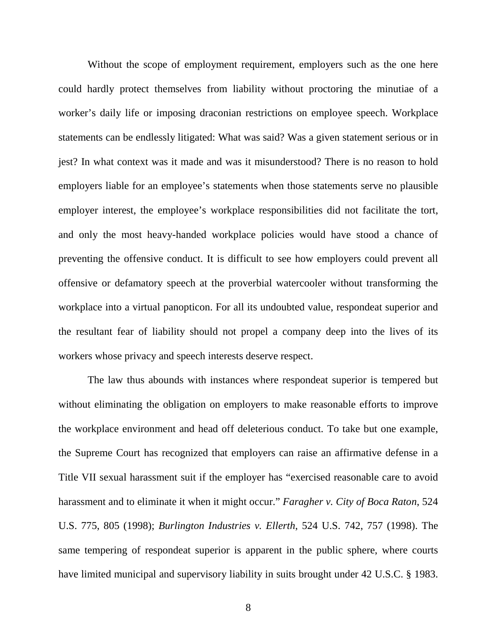Without the scope of employment requirement, employers such as the one here could hardly protect themselves from liability without proctoring the minutiae of a worker's daily life or imposing draconian restrictions on employee speech. Workplace statements can be endlessly litigated: What was said? Was a given statement serious or in jest? In what context was it made and was it misunderstood? There is no reason to hold employers liable for an employee's statements when those statements serve no plausible employer interest, the employee's workplace responsibilities did not facilitate the tort, and only the most heavy-handed workplace policies would have stood a chance of preventing the offensive conduct. It is difficult to see how employers could prevent all offensive or defamatory speech at the proverbial watercooler without transforming the workplace into a virtual panopticon. For all its undoubted value, respondeat superior and the resultant fear of liability should not propel a company deep into the lives of its workers whose privacy and speech interests deserve respect.

The law thus abounds with instances where respondeat superior is tempered but without eliminating the obligation on employers to make reasonable efforts to improve the workplace environment and head off deleterious conduct. To take but one example, the Supreme Court has recognized that employers can raise an affirmative defense in a Title VII sexual harassment suit if the employer has "exercised reasonable care to avoid harassment and to eliminate it when it might occur." *Faragher v. City of Boca Raton*, 524 U.S. 775, 805 (1998); *Burlington Industries v. Ellerth*, 524 U.S. 742, 757 (1998). The same tempering of respondeat superior is apparent in the public sphere, where courts have limited municipal and supervisory liability in suits brought under 42 U.S.C. § 1983.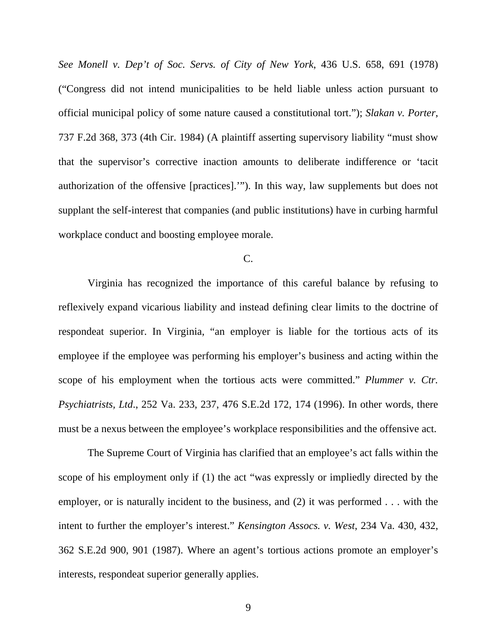*See Monell v. Dep't of Soc. Servs. of City of New York*, 436 U.S. 658, 691 (1978) ("Congress did not intend municipalities to be held liable unless action pursuant to official municipal policy of some nature caused a constitutional tort."); *Slakan v. Porter*, 737 F.2d 368, 373 (4th Cir. 1984) (A plaintiff asserting supervisory liability "must show that the supervisor's corrective inaction amounts to deliberate indifference or 'tacit authorization of the offensive [practices].'"). In this way, law supplements but does not supplant the self-interest that companies (and public institutions) have in curbing harmful workplace conduct and boosting employee morale.

## C.

Virginia has recognized the importance of this careful balance by refusing to reflexively expand vicarious liability and instead defining clear limits to the doctrine of respondeat superior. In Virginia, "an employer is liable for the tortious acts of its employee if the employee was performing his employer's business and acting within the scope of his employment when the tortious acts were committed." *Plummer v. Ctr. Psychiatrists, Ltd*., 252 Va. 233, 237, 476 S.E.2d 172, 174 (1996). In other words, there must be a nexus between the employee's workplace responsibilities and the offensive act.

The Supreme Court of Virginia has clarified that an employee's act falls within the scope of his employment only if (1) the act "was expressly or impliedly directed by the employer, or is naturally incident to the business, and (2) it was performed . . . with the intent to further the employer's interest." *Kensington Assocs. v. West*, 234 Va. 430, 432, 362 S.E.2d 900, 901 (1987). Where an agent's tortious actions promote an employer's interests, respondeat superior generally applies.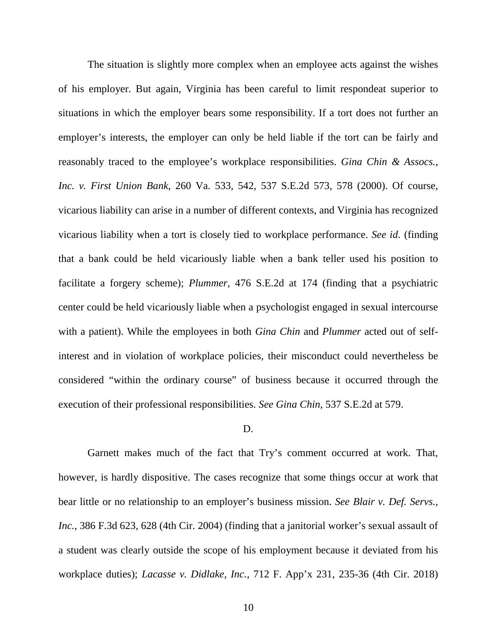The situation is slightly more complex when an employee acts against the wishes of his employer. But again, Virginia has been careful to limit respondeat superior to situations in which the employer bears some responsibility. If a tort does not further an employer's interests, the employer can only be held liable if the tort can be fairly and reasonably traced to the employee's workplace responsibilities. *Gina Chin & Assocs., Inc. v. First Union Bank*, 260 Va. 533, 542, 537 S.E.2d 573, 578 (2000). Of course, vicarious liability can arise in a number of different contexts, and Virginia has recognized vicarious liability when a tort is closely tied to workplace performance. *See id.* (finding that a bank could be held vicariously liable when a bank teller used his position to facilitate a forgery scheme); *Plummer*, 476 S.E.2d at 174 (finding that a psychiatric center could be held vicariously liable when a psychologist engaged in sexual intercourse with a patient). While the employees in both *Gina Chin* and *Plummer* acted out of selfinterest and in violation of workplace policies, their misconduct could nevertheless be considered "within the ordinary course" of business because it occurred through the execution of their professional responsibilities. *See Gina Chin*, 537 S.E.2d at 579.

## D.

Garnett makes much of the fact that Try's comment occurred at work. That, however, is hardly dispositive. The cases recognize that some things occur at work that bear little or no relationship to an employer's business mission. *See Blair v. Def. Servs., Inc.*, 386 F.3d 623, 628 (4th Cir. 2004) (finding that a janitorial worker's sexual assault of a student was clearly outside the scope of his employment because it deviated from his workplace duties); *Lacasse v. Didlake, Inc.*, 712 F. App'x 231, 235-36 (4th Cir. 2018)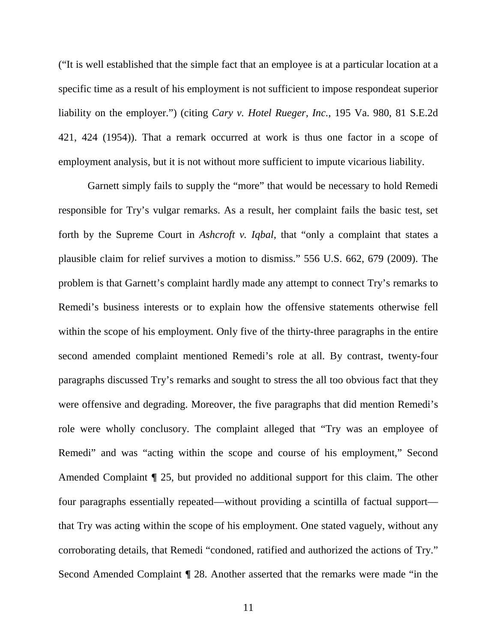("It is well established that the simple fact that an employee is at a particular location at a specific time as a result of his employment is not sufficient to impose respondeat superior liability on the employer.") (citing *Cary v. Hotel Rueger, Inc.*, 195 Va. 980, 81 S.E.2d 421, 424 (1954)). That a remark occurred at work is thus one factor in a scope of employment analysis, but it is not without more sufficient to impute vicarious liability.

Garnett simply fails to supply the "more" that would be necessary to hold Remedi responsible for Try's vulgar remarks. As a result, her complaint fails the basic test, set forth by the Supreme Court in *Ashcroft v. Iqbal*, that "only a complaint that states a plausible claim for relief survives a motion to dismiss." 556 U.S. 662, 679 (2009). The problem is that Garnett's complaint hardly made any attempt to connect Try's remarks to Remedi's business interests or to explain how the offensive statements otherwise fell within the scope of his employment. Only five of the thirty-three paragraphs in the entire second amended complaint mentioned Remedi's role at all. By contrast, twenty-four paragraphs discussed Try's remarks and sought to stress the all too obvious fact that they were offensive and degrading. Moreover, the five paragraphs that did mention Remedi's role were wholly conclusory. The complaint alleged that "Try was an employee of Remedi" and was "acting within the scope and course of his employment," Second Amended Complaint **¶** 25, but provided no additional support for this claim. The other four paragraphs essentially repeated—without providing a scintilla of factual support that Try was acting within the scope of his employment. One stated vaguely, without any corroborating details, that Remedi "condoned, ratified and authorized the actions of Try." Second Amended Complaint **¶** 28. Another asserted that the remarks were made "in the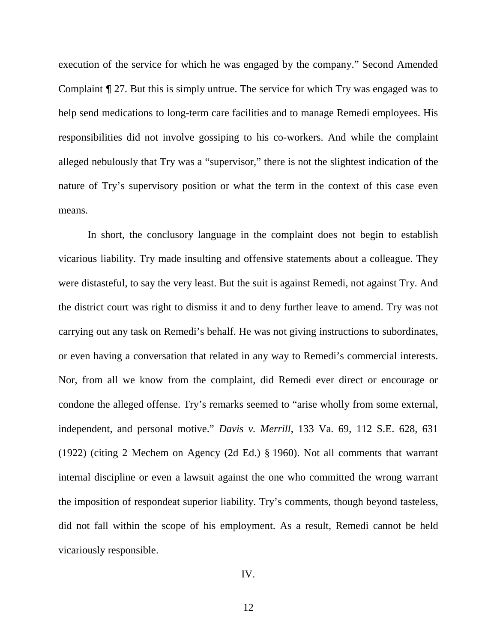execution of the service for which he was engaged by the company." Second Amended Complaint **¶** 27. But this is simply untrue. The service for which Try was engaged was to help send medications to long-term care facilities and to manage Remedi employees. His responsibilities did not involve gossiping to his co-workers. And while the complaint alleged nebulously that Try was a "supervisor," there is not the slightest indication of the nature of Try's supervisory position or what the term in the context of this case even means.

In short, the conclusory language in the complaint does not begin to establish vicarious liability. Try made insulting and offensive statements about a colleague. They were distasteful, to say the very least. But the suit is against Remedi, not against Try. And the district court was right to dismiss it and to deny further leave to amend. Try was not carrying out any task on Remedi's behalf. He was not giving instructions to subordinates, or even having a conversation that related in any way to Remedi's commercial interests. Nor, from all we know from the complaint, did Remedi ever direct or encourage or condone the alleged offense. Try's remarks seemed to "arise wholly from some external, independent, and personal motive." *Davis v. Merrill*, 133 Va. 69, 112 S.E. 628, 631 (1922) (citing 2 Mechem on Agency (2d Ed.) § 1960). Not all comments that warrant internal discipline or even a lawsuit against the one who committed the wrong warrant the imposition of respondeat superior liability. Try's comments, though beyond tasteless, did not fall within the scope of his employment. As a result, Remedi cannot be held vicariously responsible.